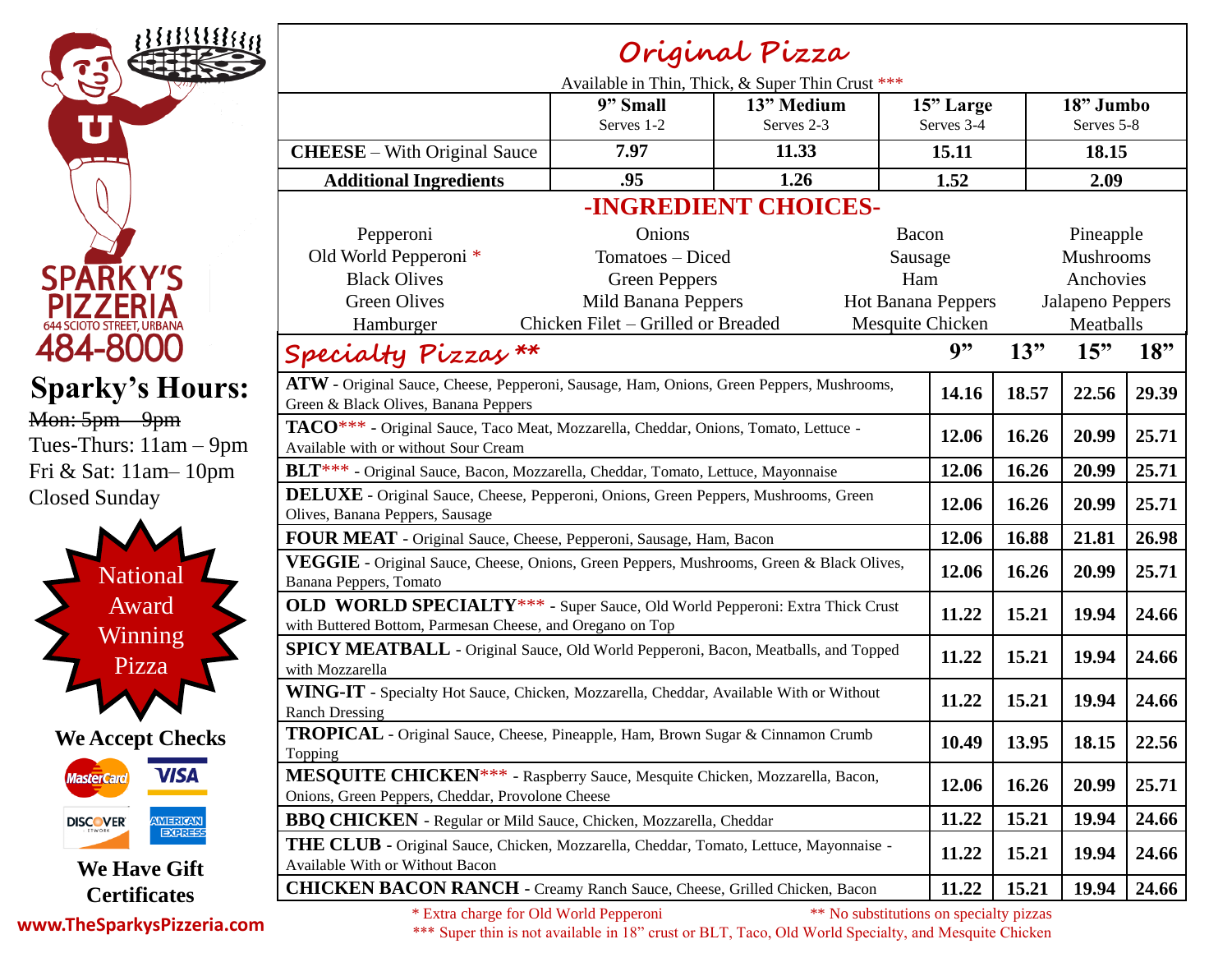

**Original Pizza** Available in Thin, Thick, & Super Thin Crust \*\*\* **9" Small** Serves 1-2 **13" Medium** Serves 2-3 **15" Large** Serves 3-4 **18" Jumbo** Serves 5-8 **CHEESE** – With Original Sauce **7.97 11.33 15.11 18.15 Additional Ingredients .95 1.26 1.52 2.09 -INGREDIENT CHOICES-**Pepperoni Old World Pepperoni \* Black Olives Green Olives Hamburger Onions Tomatoes – Diced Green Peppers Mild Banana Peppers Chicken Filet – Grilled or Breaded Bacon Sausage Ham Hot Banana Peppers Mesquite Chicken Pineapple Mushrooms Anchovies Jalapeno Peppers Meatballs **Specialty Pizzas \*\* 9" 13" 15" 18" ATW** - Original Sauce, Cheese, Pepperoni, Sausage, Ham, Onions, Green Peppers, Mushrooms, Green & Black Olives, Banana Peppers **14.16 18.57 22.56 29.39 TACO**\*\*\* - Original Sauce, Taco Meat, Mozzarella, Cheddar, Onions, Tomato, Lettuce - Available with or without Sour Cream **12.06 16.26 20.99 25.71 BLT**\*\*\* - Original Sauce, Bacon, Mozzarella, Cheddar, Tomato, Lettuce, Mayonnaise **12.06 16.26 20.99 25.71 DELUXE** - Original Sauce, Cheese, Pepperoni, Onions, Green Peppers, Mushrooms, Green **12.06 16.26 20.99 25.71 10.26 16.26 1 FOUR MEAT** - Original Sauce, Cheese, Pepperoni, Sausage, Ham, Bacon **12.06 16.88 21.81 26.98 VEGGIE** - Original Sauce, Cheese, Onions, Green Peppers, Mushrooms, Green & Black Olives, Banana Peppers, Tomato **12.06 16.26 20.99 25.71 OLD WORLD SPECIALTY**\*\*\* - Super Sauce, Old World Pepperoni: Extra Thick Crust VED WORLD SPECIALI 1 The Super Sauce, Old World Pepperoni: Extra Thick Crust 11.22 15.21 19.94 24.66 with Buttered Bottom, Parmesan Cheese, and Oregano on Top **SPICY MEATBALL** - Original Sauce, Old World Pepperoni, Bacon, Meatballs, and Topped with Mozzarella **11.22 15.21 19.94 24.66 WING-IT** - Specialty Hot Sauce, Chicken, Mozzarella, Cheddar, Available With or Without Ranch Dressing **11.22 15.21 19.94 24.66 TROPICAL** - Original Sauce, Cheese, Pineapple, Ham, Brown Sugar & Cinnamon Crumb Topping **10.49 13.95 18.15 22.56 MESQUITE CHICKEN**\*\*\* - Raspberry Sauce, Mesquite Chicken, Mozzarella, Bacon, Onions, Green Peppers, Cheddar, Provolone Cheese **12.06 16.26 16.26 20.99 25.71 20.99 25.71 BBQ CHICKEN** - Regular or Mild Sauce, Chicken, Mozzarella, Cheddar **11.22 15.21 19.94 24.66 THE CLUB -** Original Sauce, Chicken, Mozzarella, Cheddar, Tomato, Lettuce, Mayonnaise - Available With or Without Bacon **11.22 15.21 19.94 24.66 CHICKEN BACON RANCH -** Creamy Ranch Sauce, Cheese, Grilled Chicken, Bacon **11.22 15.21 19.94 24.66**

**www.TheSparkysPizzeria.com**

\* Extra charge for Old World Pepperoni \*\* No substitutions on specialty pizzas

\*\*\* Super thin is not available in 18" crust or BLT, Taco, Old World Specialty, and Mesquite Chicken